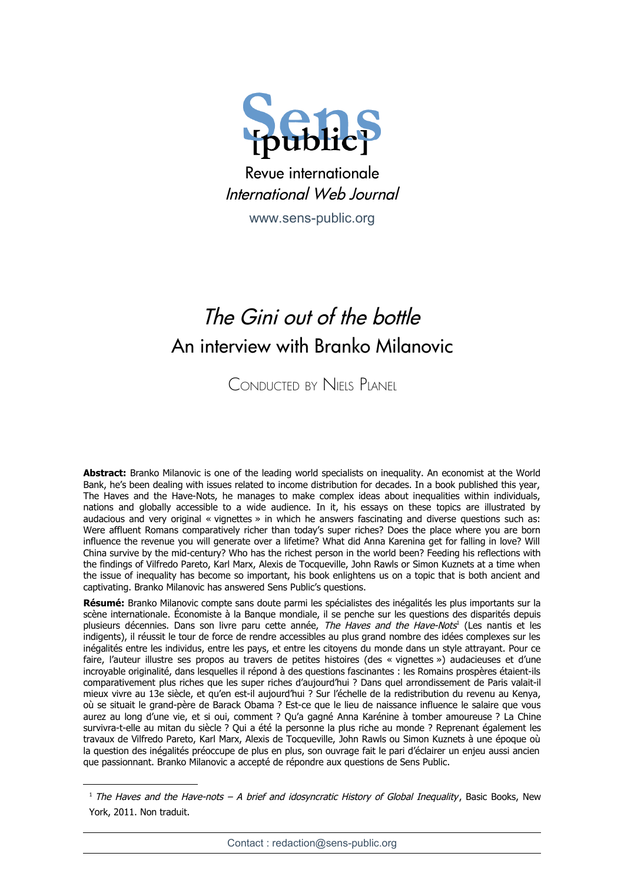

Revue internationale International Web Journal

[www.sens-public.org](http://www.sens-public.org/)

## The Gini out of the bottle An interview with Branko Milanovic

CONDUCTED BY NIELS PLANEL

**Abstract:** Branko Milanovic is one of the leading world specialists on inequality. An economist at the World Bank, he's been dealing with issues related to income distribution for decades. In a book published this year, The Haves and the Have-Nots, he manages to make complex ideas about inequalities within individuals, nations and globally accessible to a wide audience. In it, his essays on these topics are illustrated by audacious and very original « vignettes » in which he answers fascinating and diverse questions such as: Were affluent Romans comparatively richer than today's super riches? Does the place where you are born influence the revenue you will generate over a lifetime? What did Anna Karenina get for falling in love? Will China survive by the mid-century? Who has the richest person in the world been? Feeding his reflections with the findings of Vilfredo Pareto, Karl Marx, Alexis de Tocqueville, John Rawls or Simon Kuznets at a time when the issue of inequality has become so important, his book enlightens us on a topic that is both ancient and captivating. Branko Milanovic has answered Sens Public's questions.

**Résumé:** Branko Milanovic compte sans doute parmi les spécialistes des inégalités les plus importants sur la scène internationale. Économiste à la Banque mondiale, il se penche sur les questions des disparités depuis plusieurs décennies. Dans son livre paru cette année, *The Haves and the Have-Nots*<sup>[1](#page-0-0)</sup> (Les nantis et les indigents), il réussit le tour de force de rendre accessibles au plus grand nombre des idées complexes sur les inégalités entre les individus, entre les pays, et entre les citoyens du monde dans un style attrayant. Pour ce faire, l'auteur illustre ses propos au travers de petites histoires (des « vignettes ») audacieuses et d'une incroyable originalité, dans lesquelles il répond à des questions fascinantes : les Romains prospères étaient-ils comparativement plus riches que les super riches d'aujourd'hui ? Dans quel arrondissement de Paris valait-il mieux vivre au 13e siècle, et qu'en est-il aujourd'hui ? Sur l'échelle de la redistribution du revenu au Kenya, où se situait le grand-père de Barack Obama ? Est-ce que le lieu de naissance influence le salaire que vous aurez au long d'une vie, et si oui, comment ? Qu'a gagné Anna Karénine à tomber amoureuse ? La Chine survivra-t-elle au mitan du siècle ? Qui a été la personne la plus riche au monde ? Reprenant également les travaux de Vilfredo Pareto, Karl Marx, Alexis de Tocqueville, John Rawls ou Simon Kuznets à une époque où la question des inégalités préoccupe de plus en plus, son ouvrage fait le pari d'éclairer un enjeu aussi ancien que passionnant. Branko Milanovic a accepté de répondre aux questions de Sens Public.

<span id="page-0-0"></span><sup>&</sup>lt;sup>1</sup> The Haves and the Have-nots – A brief and idosyncratic History of Global Inequality, Basic Books, New York, 2011. Non traduit.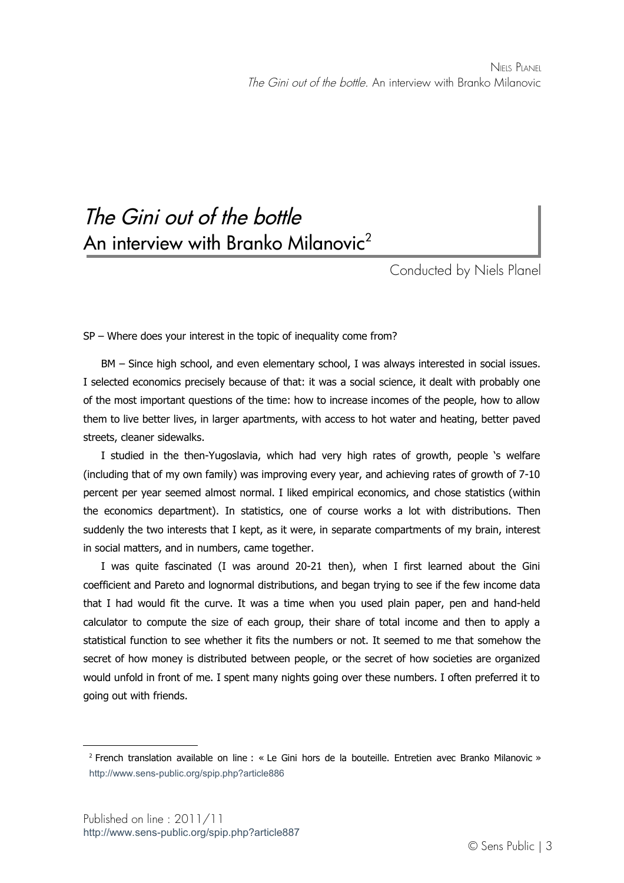## The Gini out of the bottle An interview with Branko Milanovic<sup>[2](#page-2-0)</sup>

Conducted by Niels Planel

SP – Where does your interest in the topic of inequality come from?

BM – Since high school, and even elementary school, I was always interested in social issues. I selected economics precisely because of that: it was a social science, it dealt with probably one of the most important questions of the time: how to increase incomes of the people, how to allow them to live better lives, in larger apartments, with access to hot water and heating, better paved streets, cleaner sidewalks.

I studied in the then-Yugoslavia, which had very high rates of growth, people 's welfare (including that of my own family) was improving every year, and achieving rates of growth of 7-10 percent per year seemed almost normal. I liked empirical economics, and chose statistics (within the economics department). In statistics, one of course works a lot with distributions. Then suddenly the two interests that I kept, as it were, in separate compartments of my brain, interest in social matters, and in numbers, came together.

I was quite fascinated (I was around 20-21 then), when I first learned about the Gini coefficient and Pareto and lognormal distributions, and began trying to see if the few income data that I had would fit the curve. It was a time when you used plain paper, pen and hand-held calculator to compute the size of each group, their share of total income and then to apply a statistical function to see whether it fits the numbers or not. It seemed to me that somehow the secret of how money is distributed between people, or the secret of how societies are organized would unfold in front of me. I spent many nights going over these numbers. I often preferred it to going out with friends.

<span id="page-2-0"></span><sup>2</sup> French translation available on line : « Le Gini hors de la bouteille. Entretien avec Branko Milanovic » <http://www.sens-public.org/spip.php?article886>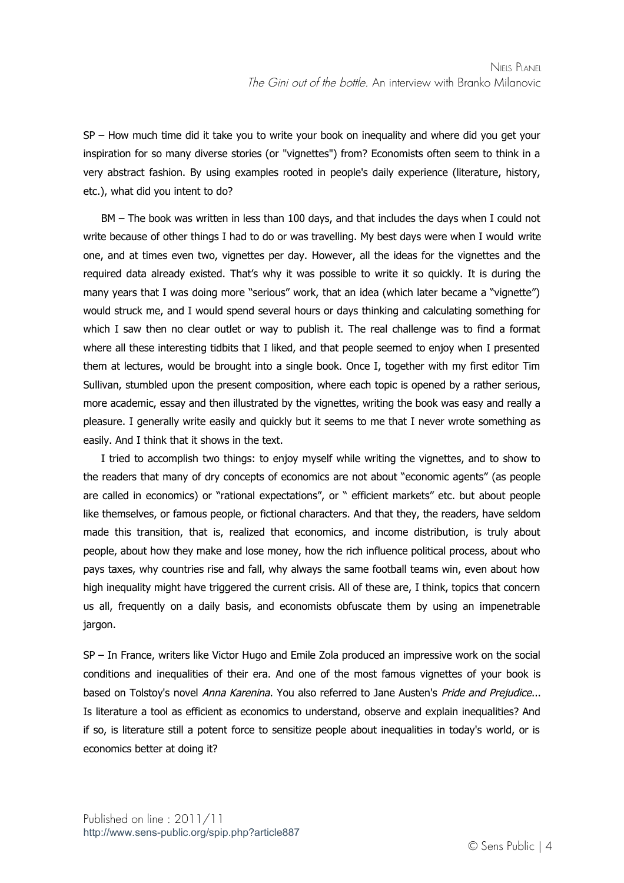SP – How much time did it take you to write your book on inequality and where did you get your inspiration for so many diverse stories (or "vignettes") from? Economists often seem to think in a very abstract fashion. By using examples rooted in people's daily experience (literature, history, etc.), what did you intent to do?

BM – The book was written in less than 100 days, and that includes the days when I could not write because of other things I had to do or was travelling. My best days were when I would write one, and at times even two, vignettes per day. However, all the ideas for the vignettes and the required data already existed. That's why it was possible to write it so quickly. It is during the many years that I was doing more "serious" work, that an idea (which later became a "vignette") would struck me, and I would spend several hours or days thinking and calculating something for which I saw then no clear outlet or way to publish it. The real challenge was to find a format where all these interesting tidbits that I liked, and that people seemed to enjoy when I presented them at lectures, would be brought into a single book. Once I, together with my first editor Tim Sullivan, stumbled upon the present composition, where each topic is opened by a rather serious, more academic, essay and then illustrated by the vignettes, writing the book was easy and really a pleasure. I generally write easily and quickly but it seems to me that I never wrote something as easily. And I think that it shows in the text.

I tried to accomplish two things: to enjoy myself while writing the vignettes, and to show to the readers that many of dry concepts of economics are not about "economic agents" (as people are called in economics) or "rational expectations", or " efficient markets" etc. but about people like themselves, or famous people, or fictional characters. And that they, the readers, have seldom made this transition, that is, realized that economics, and income distribution, is truly about people, about how they make and lose money, how the rich influence political process, about who pays taxes, why countries rise and fall, why always the same football teams win, even about how high inequality might have triggered the current crisis. All of these are, I think, topics that concern us all, frequently on a daily basis, and economists obfuscate them by using an impenetrable jargon.

SP – In France, writers like Victor Hugo and Emile Zola produced an impressive work on the social conditions and inequalities of their era. And one of the most famous vignettes of your book is based on Tolstoy's novel Anna Karenina. You also referred to Jane Austen's Pride and Prejudice... Is literature a tool as efficient as economics to understand, observe and explain inequalities? And if so, is literature still a potent force to sensitize people about inequalities in today's world, or is economics better at doing it?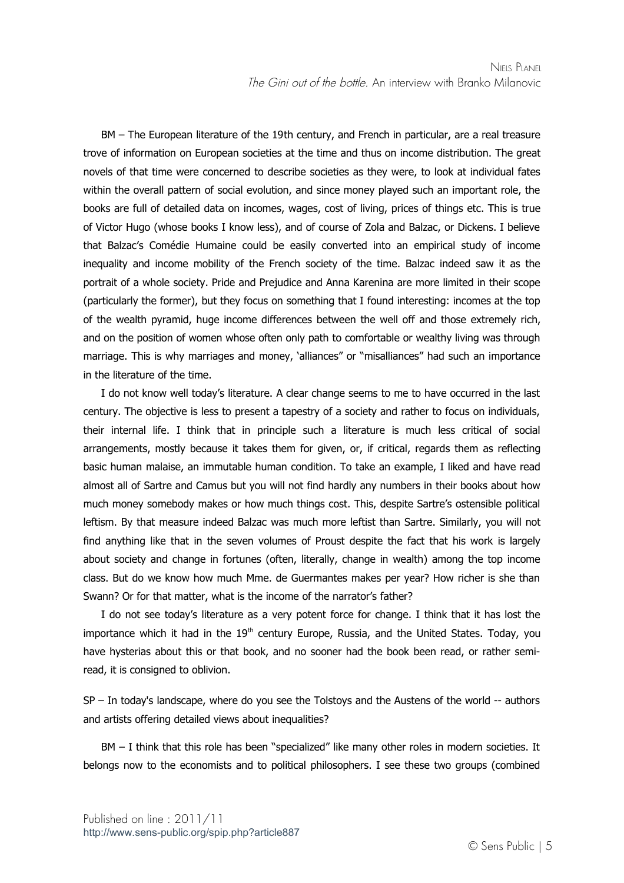BM – The European literature of the 19th century, and French in particular, are a real treasure trove of information on European societies at the time and thus on income distribution. The great novels of that time were concerned to describe societies as they were, to look at individual fates within the overall pattern of social evolution, and since money played such an important role, the books are full of detailed data on incomes, wages, cost of living, prices of things etc. This is true of Victor Hugo (whose books I know less), and of course of Zola and Balzac, or Dickens. I believe that Balzac's Comédie Humaine could be easily converted into an empirical study of income inequality and income mobility of the French society of the time. Balzac indeed saw it as the portrait of a whole society. Pride and Prejudice and Anna Karenina are more limited in their scope (particularly the former), but they focus on something that I found interesting: incomes at the top of the wealth pyramid, huge income differences between the well off and those extremely rich, and on the position of women whose often only path to comfortable or wealthy living was through marriage. This is why marriages and money, 'alliances" or "misalliances" had such an importance in the literature of the time.

I do not know well today's literature. A clear change seems to me to have occurred in the last century. The objective is less to present a tapestry of a society and rather to focus on individuals, their internal life. I think that in principle such a literature is much less critical of social arrangements, mostly because it takes them for given, or, if critical, regards them as reflecting basic human malaise, an immutable human condition. To take an example, I liked and have read almost all of Sartre and Camus but you will not find hardly any numbers in their books about how much money somebody makes or how much things cost. This, despite Sartre's ostensible political leftism. By that measure indeed Balzac was much more leftist than Sartre. Similarly, you will not find anything like that in the seven volumes of Proust despite the fact that his work is largely about society and change in fortunes (often, literally, change in wealth) among the top income class. But do we know how much Mme. de Guermantes makes per year? How richer is she than Swann? Or for that matter, what is the income of the narrator's father?

I do not see today's literature as a very potent force for change. I think that it has lost the importance which it had in the  $19<sup>th</sup>$  century Europe, Russia, and the United States. Today, you have hysterias about this or that book, and no sooner had the book been read, or rather semiread, it is consigned to oblivion.

SP – In today's landscape, where do you see the Tolstoys and the Austens of the world -- authors and artists offering detailed views about inequalities?

BM – I think that this role has been "specialized" like many other roles in modern societies. It belongs now to the economists and to political philosophers. I see these two groups (combined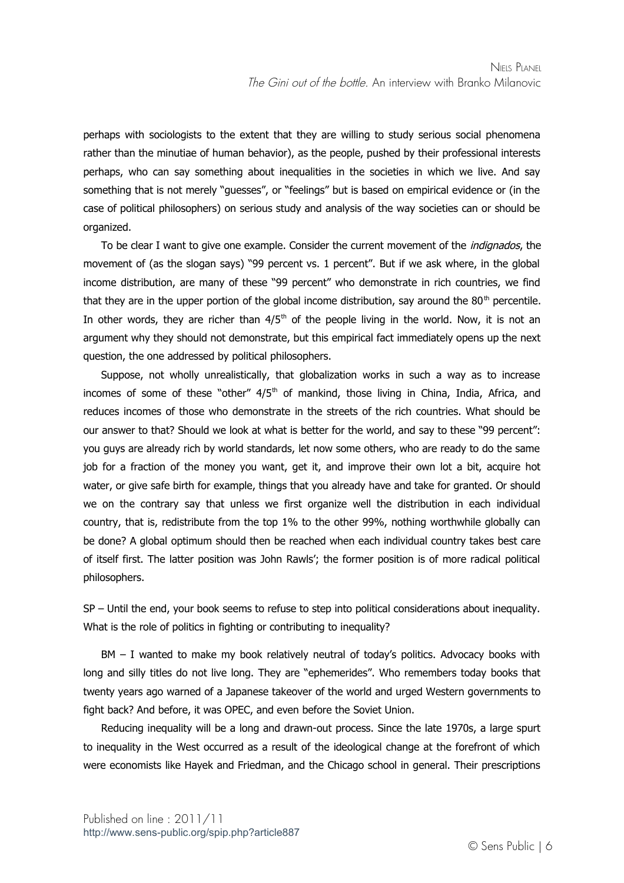perhaps with sociologists to the extent that they are willing to study serious social phenomena rather than the minutiae of human behavior), as the people, pushed by their professional interests perhaps, who can say something about inequalities in the societies in which we live. And say something that is not merely "guesses", or "feelings" but is based on empirical evidence or (in the case of political philosophers) on serious study and analysis of the way societies can or should be organized.

To be clear I want to give one example. Consider the current movement of the *indignados*, the movement of (as the slogan says) "99 percent vs. 1 percent". But if we ask where, in the global income distribution, are many of these "99 percent" who demonstrate in rich countries, we find that they are in the upper portion of the global income distribution, say around the  $80<sup>th</sup>$  percentile. In other words, they are richer than  $4/5<sup>th</sup>$  of the people living in the world. Now, it is not an argument why they should not demonstrate, but this empirical fact immediately opens up the next question, the one addressed by political philosophers.

Suppose, not wholly unrealistically, that globalization works in such a way as to increase incomes of some of these "other"  $4/5<sup>th</sup>$  of mankind, those living in China, India, Africa, and reduces incomes of those who demonstrate in the streets of the rich countries. What should be our answer to that? Should we look at what is better for the world, and say to these "99 percent": you guys are already rich by world standards, let now some others, who are ready to do the same job for a fraction of the money you want, get it, and improve their own lot a bit, acquire hot water, or give safe birth for example, things that you already have and take for granted. Or should we on the contrary say that unless we first organize well the distribution in each individual country, that is, redistribute from the top 1% to the other 99%, nothing worthwhile globally can be done? A global optimum should then be reached when each individual country takes best care of itself first. The latter position was John Rawls'; the former position is of more radical political philosophers.

SP – Until the end, your book seems to refuse to step into political considerations about inequality. What is the role of politics in fighting or contributing to inequality?

BM – I wanted to make my book relatively neutral of today's politics. Advocacy books with long and silly titles do not live long. They are "ephemerides". Who remembers today books that twenty years ago warned of a Japanese takeover of the world and urged Western governments to fight back? And before, it was OPEC, and even before the Soviet Union.

Reducing inequality will be a long and drawn-out process. Since the late 1970s, a large spurt to inequality in the West occurred as a result of the ideological change at the forefront of which were economists like Hayek and Friedman, and the Chicago school in general. Their prescriptions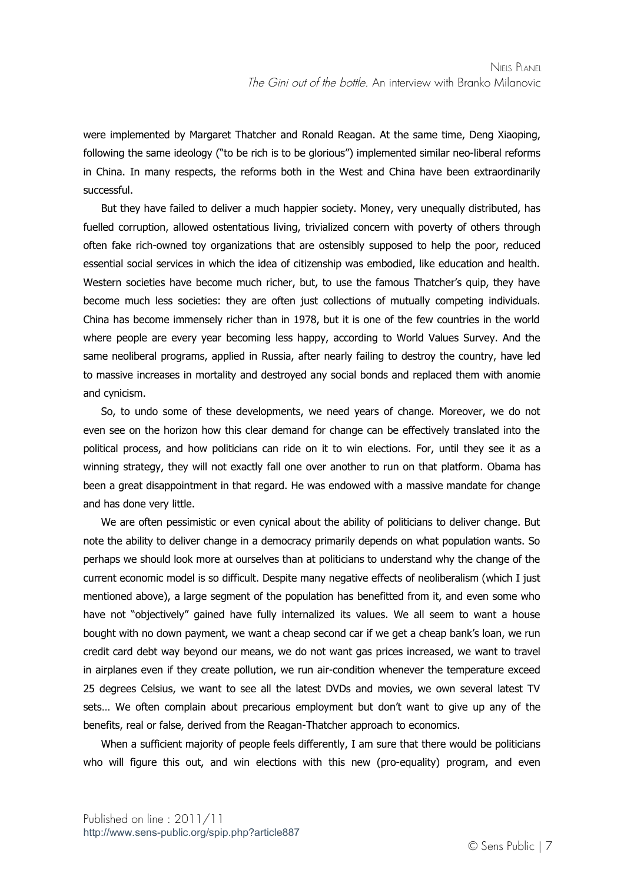were implemented by Margaret Thatcher and Ronald Reagan. At the same time, Deng Xiaoping, following the same ideology ("to be rich is to be glorious") implemented similar neo-liberal reforms in China. In many respects, the reforms both in the West and China have been extraordinarily successful.

But they have failed to deliver a much happier society. Money, very unequally distributed, has fuelled corruption, allowed ostentatious living, trivialized concern with poverty of others through often fake rich-owned toy organizations that are ostensibly supposed to help the poor, reduced essential social services in which the idea of citizenship was embodied, like education and health. Western societies have become much richer, but, to use the famous Thatcher's quip, they have become much less societies: they are often just collections of mutually competing individuals. China has become immensely richer than in 1978, but it is one of the few countries in the world where people are every year becoming less happy, according to World Values Survey. And the same neoliberal programs, applied in Russia, after nearly failing to destroy the country, have led to massive increases in mortality and destroyed any social bonds and replaced them with anomie and cynicism.

So, to undo some of these developments, we need years of change. Moreover, we do not even see on the horizon how this clear demand for change can be effectively translated into the political process, and how politicians can ride on it to win elections. For, until they see it as a winning strategy, they will not exactly fall one over another to run on that platform. Obama has been a great disappointment in that regard. He was endowed with a massive mandate for change and has done very little.

We are often pessimistic or even cynical about the ability of politicians to deliver change. But note the ability to deliver change in a democracy primarily depends on what population wants. So perhaps we should look more at ourselves than at politicians to understand why the change of the current economic model is so difficult. Despite many negative effects of neoliberalism (which I just mentioned above), a large segment of the population has benefitted from it, and even some who have not "objectively" gained have fully internalized its values. We all seem to want a house bought with no down payment, we want a cheap second car if we get a cheap bank's loan, we run credit card debt way beyond our means, we do not want gas prices increased, we want to travel in airplanes even if they create pollution, we run air-condition whenever the temperature exceed 25 degrees Celsius, we want to see all the latest DVDs and movies, we own several latest TV sets… We often complain about precarious employment but don't want to give up any of the benefits, real or false, derived from the Reagan-Thatcher approach to economics.

When a sufficient majority of people feels differently, I am sure that there would be politicians who will figure this out, and win elections with this new (pro-equality) program, and even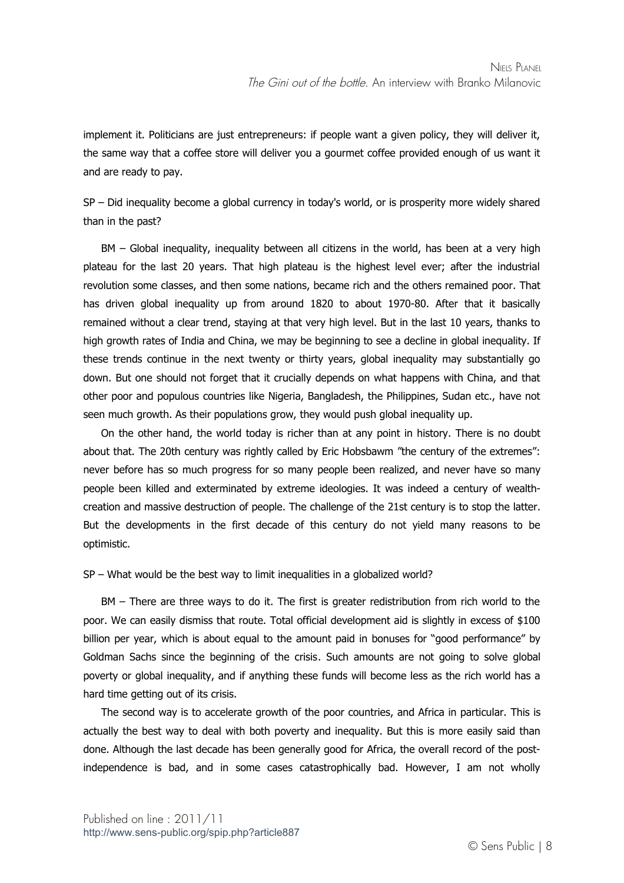implement it. Politicians are just entrepreneurs: if people want a given policy, they will deliver it, the same way that a coffee store will deliver you a gourmet coffee provided enough of us want it and are ready to pay.

SP – Did inequality become a global currency in today's world, or is prosperity more widely shared than in the past?

BM – Global inequality, inequality between all citizens in the world, has been at a very high plateau for the last 20 years. That high plateau is the highest level ever; after the industrial revolution some classes, and then some nations, became rich and the others remained poor. That has driven global inequality up from around 1820 to about 1970-80. After that it basically remained without a clear trend, staying at that very high level. But in the last 10 years, thanks to high growth rates of India and China, we may be beginning to see a decline in global inequality. If these trends continue in the next twenty or thirty years, global inequality may substantially go down. But one should not forget that it crucially depends on what happens with China, and that other poor and populous countries like Nigeria, Bangladesh, the Philippines, Sudan etc., have not seen much growth. As their populations grow, they would push global inequality up.

On the other hand, the world today is richer than at any point in history. There is no doubt about that. The 20th century was rightly called by Eric Hobsbawm "the century of the extremes": never before has so much progress for so many people been realized, and never have so many people been killed and exterminated by extreme ideologies. It was indeed a century of wealthcreation and massive destruction of people. The challenge of the 21st century is to stop the latter. But the developments in the first decade of this century do not yield many reasons to be optimistic.

SP – What would be the best way to limit inequalities in a globalized world?

BM – There are three ways to do it. The first is greater redistribution from rich world to the poor. We can easily dismiss that route. Total official development aid is slightly in excess of \$100 billion per year, which is about equal to the amount paid in bonuses for "good performance" by Goldman Sachs since the beginning of the crisis. Such amounts are not going to solve global poverty or global inequality, and if anything these funds will become less as the rich world has a hard time getting out of its crisis.

The second way is to accelerate growth of the poor countries, and Africa in particular. This is actually the best way to deal with both poverty and inequality. But this is more easily said than done. Although the last decade has been generally good for Africa, the overall record of the postindependence is bad, and in some cases catastrophically bad. However, I am not wholly